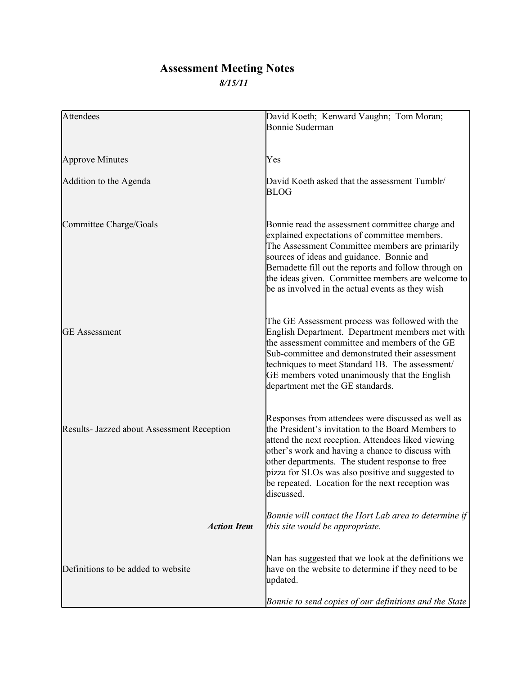## **Assessment Meeting Notes** *8/15/11*

| <b>Attendees</b>                           | David Koeth; Kenward Vaughn; Tom Moran;                                                                                                                                                                                                                                                                                                                                                      |
|--------------------------------------------|----------------------------------------------------------------------------------------------------------------------------------------------------------------------------------------------------------------------------------------------------------------------------------------------------------------------------------------------------------------------------------------------|
|                                            | <b>Bonnie Suderman</b>                                                                                                                                                                                                                                                                                                                                                                       |
|                                            |                                                                                                                                                                                                                                                                                                                                                                                              |
|                                            |                                                                                                                                                                                                                                                                                                                                                                                              |
| <b>Approve Minutes</b>                     | Yes                                                                                                                                                                                                                                                                                                                                                                                          |
| Addition to the Agenda                     | David Koeth asked that the assessment Tumblr/<br><b>BLOG</b>                                                                                                                                                                                                                                                                                                                                 |
| Committee Charge/Goals                     | Bonnie read the assessment committee charge and<br>explained expectations of committee members.<br>The Assessment Committee members are primarily<br>sources of ideas and guidance. Bonnie and<br>Bernadette fill out the reports and follow through on<br>the ideas given. Committee members are welcome to<br>be as involved in the actual events as they wish                             |
| <b>GE</b> Assessment                       | The GE Assessment process was followed with the<br>English Department. Department members met with<br>the assessment committee and members of the GE<br>Sub-committee and demonstrated their assessment<br>techniques to meet Standard 1B. The assessment/<br>GE members voted unanimously that the English<br>department met the GE standards.                                              |
| Results- Jazzed about Assessment Reception | Responses from attendees were discussed as well as<br>the President's invitation to the Board Members to<br>attend the next reception. Attendees liked viewing<br>other's work and having a chance to discuss with<br>other departments. The student response to free<br>pizza for SLOs was also positive and suggested to<br>be repeated. Location for the next reception was<br>discussed. |
| <b>Action Item</b>                         | Bonnie will contact the Hort Lab area to determine if<br>this site would be appropriate.                                                                                                                                                                                                                                                                                                     |
| Definitions to be added to website         | Nan has suggested that we look at the definitions we<br>have on the website to determine if they need to be<br>updated.                                                                                                                                                                                                                                                                      |
|                                            | Bonnie to send copies of our definitions and the State                                                                                                                                                                                                                                                                                                                                       |